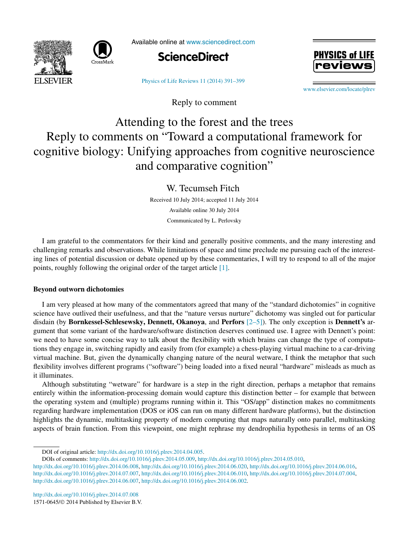



Available online at [www.sciencedirect.com](http://www.sciencedirect.com)



[Physics of Life Reviews 11 \(2014\) 391–399](http://dx.doi.org/10.1016/j.plrev.2014.07.008)



[www.elsevier.com/locate/plrev](http://www.elsevier.com/locate/plrev)

Reply to comment

# Attending to the forest and the trees Reply to comments on "Toward a computational framework for cognitive biology: Unifying approaches from cognitive neuroscience and comparative cognition"

W. Tecumseh Fitch

Received 10 July 2014; accepted 11 July 2014 Available online 30 July 2014 Communicated by L. Perlovsky

I am grateful to the commentators for their kind and generally positive comments, and the many interesting and challenging remarks and observations. While limitations of space and time preclude me pursuing each of the interesting lines of potential discussion or debate opened up by these commentaries, I will try to respond to all of the major points, roughly following the original order of the target article [\[1\].](#page-6-0)

# **Beyond outworn dichotomies**

I am very pleased at how many of the commentators agreed that many of the "standard dichotomies" in cognitive science have outlived their usefulness, and that the "nature versus nurture" dichotomy was singled out for particular disdain (by **Bornkessel-Schlesewsky, Dennett, Okanoya**, and **Perfors** [\[2–5\]\)](#page-6-0). The only exception is **Dennett's** argument that some variant of the hardware/software distinction deserves continued use. I agree with Dennett's point: we need to have some concise way to talk about the flexibility with which brains can change the type of computations they engage in, switching rapidly and easily from (for example) a chess-playing virtual machine to a car-driving virtual machine. But, given the dynamically changing nature of the neural wetware, I think the metaphor that such flexibility involves different programs ("software") being loaded into a fixed neural "hardware" misleads as much as it illuminates.

Although substituting "wetware" for hardware is a step in the right direction, perhaps a metaphor that remains entirely within the information-processing domain would capture this distinction better – for example that between the operating system and (multiple) programs running within it. This "OS/app" distinction makes no commitments regarding hardware implementation (DOS or iOS can run on many different hardware platforms), but the distinction highlights the dynamic, multitasking property of modern computing that maps naturally onto parallel, multitasking aspects of brain function. From this viewpoint, one might rephrase my dendrophilia hypothesis in terms of an OS

<http://dx.doi.org/10.1016/j.plrev.2014.07.008>

1571-0645/© 2014 Published by Elsevier B.V.

DOI of original article: <http://dx.doi.org/10.1016/j.plrev.2014.04.005>.

DOIs of comments: <http://dx.doi.org/10.1016/j.plrev.2014.05.009>, [http://dx.doi.org/10.1016/j.plrev.2014.05.010,](http://dx.doi.org/10.1016/j.plrev.2014.05.010)

<http://dx.doi.org/10.1016/j.plrev.2014.06.008>, [http://dx.doi.org/10.1016/j.plrev.2014.06.020,](http://dx.doi.org/10.1016/j.plrev.2014.06.020) [http://dx.doi.org/10.1016/j.plrev.2014.06.016,](http://dx.doi.org/10.1016/j.plrev.2014.06.016) <http://dx.doi.org/10.1016/j.plrev.2014.07.007>, [http://dx.doi.org/10.1016/j.plrev.2014.06.010,](http://dx.doi.org/10.1016/j.plrev.2014.06.010) [http://dx.doi.org/10.1016/j.plrev.2014.07.004,](http://dx.doi.org/10.1016/j.plrev.2014.07.004) <http://dx.doi.org/10.1016/j.plrev.2014.06.007>, [http://dx.doi.org/10.1016/j.plrev.2014.06.002.](http://dx.doi.org/10.1016/j.plrev.2014.06.002)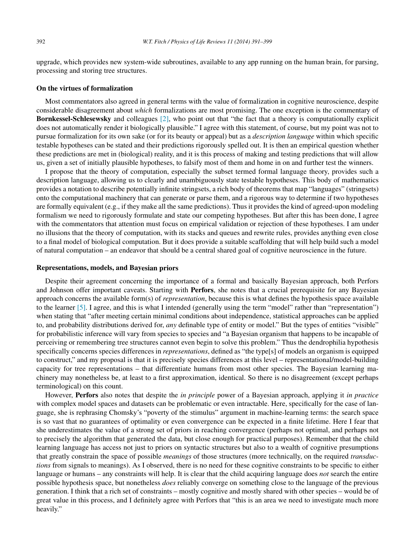upgrade, which provides new system-wide subroutines, available to any app running on the human brain, for parsing, processing and storing tree structures.

## **On the virtues of formalization**

Most commentators also agreed in general terms with the value of formalization in cognitive neuroscience, despite considerable disagreement about *which* formalizations are most promising. The one exception is the commentary of **Bornkessel-Schlesewsky** and colleagues [\[2\],](#page-6-0) who point out that "the fact that a theory is computationally explicit does not automatically render it biologically plausible." I agree with this statement, of course, but my point was not to pursue formalization for its own sake (or for its beauty or appeal) but as a *description language* within which specific testable hypotheses can be stated and their predictions rigorously spelled out. It is then an empirical question whether these predictions are met in (biological) reality, and it is this process of making and testing predictions that will allow us, given a set of initially plausible hypotheses, to falsify most of them and home in on and further test the winners.

I propose that the theory of computation, especially the subset termed formal language theory, provides such a description language, allowing us to clearly and unambiguously state testable hypotheses. This body of mathematics provides a notation to describe potentially infinite stringsets, a rich body of theorems that map "languages" (stringsets) onto the computational machinery that can generate or parse them, and a rigorous way to determine if two hypotheses are formally equivalent (e.g., if they make all the same predictions). Thus it provides the kind of agreed-upon modeling formalism we need to rigorously formulate and state our competing hypotheses. But after this has been done, I agree with the commentators that attention must focus on empirical validation or rejection of these hypotheses. I am under no illusions that the theory of computation, with its stacks and queues and rewrite rules, provides anything even close to a final model of biological computation. But it does provide a suitable scaffolding that will help build such a model of natural computation – an endeavor that should be a central shared goal of cognitive neuroscience in the future.

## **Representations, models, and Bayesian priors**

Despite their agreement concerning the importance of a formal and basically Bayesian approach, both Perfors and Johnson offer important caveats. Starting with **Perfors**, she notes that a crucial prerequisite for any Bayesian approach concerns the available form(s) of *representation*, because this is what defines the hypothesis space available to the learner [\[5\].](#page-7-0) I agree, and this is what I intended (generally using the term "model" rather than "representation") when stating that "after meeting certain minimal conditions about independence, statistical approaches can be applied to, and probability distributions derived for, *any* definable type of entity or model." But the types of entities "visible" for probabilistic inference will vary from species to species and "a Bayesian organism that happens to be incapable of perceiving or remembering tree structures cannot even begin to solve this problem." Thus the dendrophilia hypothesis specifically concerns species differences in *representations*, defined as "the type[s] of models an organism is equipped to construct," and my proposal is that it is precisely species differences at this level – representational/model-building capacity for tree representations – that differentiate humans from most other species. The Bayesian learning machinery may nonetheless be, at least to a first approximation, identical. So there is no disagreement (except perhaps terminological) on this count.

However, **Perfors** also notes that despite the *in principle* power of a Bayesian approach, applying it *in practice* with complex model spaces and datasets can be problematic or even intractable. Here, specifically for the case of language, she is rephrasing Chomsky's "poverty of the stimulus" argument in machine-learning terms: the search space is so vast that no guarantees of optimality or even convergence can be expected in a finite lifetime. Here I fear that she underestimates the value of a strong set of priors in reaching convergence (perhaps not optimal, and perhaps not to precisely the algorithm that generated the data, but close enough for practical purposes). Remember that the child learning language has access not just to priors on syntactic structures but also to a wealth of cognitive presumptions that greatly constrain the space of possible *meanings* of those structures (more technically, on the required *transductions* from signals to meanings). As I observed, there is no need for these cognitive constraints to be specific to either language or humans – any constraints will help. It is clear that the child acquiring language does *not* search the entire possible hypothesis space, but nonetheless *does* reliably converge on something close to the language of the previous generation. I think that a rich set of constraints – mostly cognitive and mostly shared with other species – would be of great value in this process, and I definitely agree with Perfors that "this is an area we need to investigate much more heavily."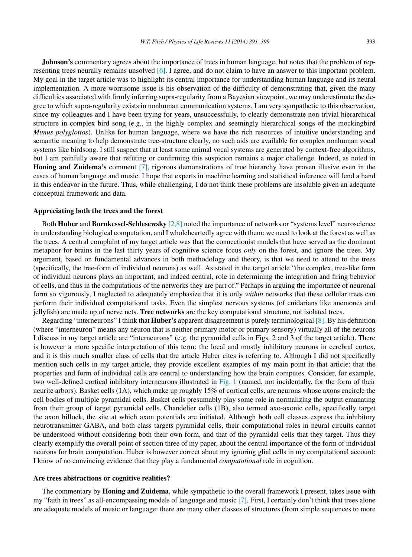**Johnson's** commentary agrees about the importance of trees in human language, but notes that the problem of representing trees neurally remains unsolved [\[6\].](#page-7-0) I agree, and do not claim to have an answer to this important problem. My goal in the target article was to highlight its central importance for understanding human language and its neural implementation. A more worrisome issue is his observation of the difficulty of demonstrating that, given the many difficulties associated with firmly inferring supra-regularity from a Bayesian viewpoint, we may underestimate the degree to which supra-regularity exists in nonhuman communication systems. I am very sympathetic to this observation, since my colleagues and I have been trying for years, unsuccessfully, to clearly demonstrate non-trivial hierarchical structure in complex bird song (e.g., in the highly complex and seemingly hierarchical songs of the mockingbird *Mimus polyglottos*). Unlike for human language, where we have the rich resources of intuitive understanding and semantic meaning to help demonstrate tree-structure clearly, no such aids are available for complex nonhuman vocal systems like birdsong. I still suspect that at least some animal vocal systems are generated by context-free algorithms, but I am painfully aware that refuting or confirming this suspicion remains a major challenge. Indeed, as noted in **Honing and Zuidema's** comment [\[7\],](#page-7-0) rigorous demonstrations of true hierarchy have proven illusive even in the cases of human language and music. I hope that experts in machine learning and statistical inference will lend a hand in this endeavor in the future. Thus, while challenging, I do not think these problems are insoluble given an adequate conceptual framework and data.

#### **Appreciating both the trees and the forest**

Both **Huber** and **Bornkessel-Schlesewsky** [\[2,8\]](#page-6-0) noted the importance of networks or "systems level" neuroscience in understanding biological computation, and I wholeheartedly agree with them: we need to look at the forest as well as the trees. A central complaint of my target article was that the connectionist models that have served as the dominant metaphor for brains in the last thirty years of cognitive science focus *only* on the forest, and ignore the trees. My argument, based on fundamental advances in both methodology and theory, is that we need to attend to the trees (specifically, the tree-form of individual neurons) as well. As stated in the target article "the complex, tree-like form of individual neurons plays an important, and indeed central, role in determining the integration and firing behavior of cells, and thus in the computations of the networks they are part of." Perhaps in arguing the importance of neuronal form so vigorously, I neglected to adequately emphasize that it is only *within* networks that these cellular trees can perform their individual computational tasks. Even the simplest nervous systems (of cnidarians like anemones and jellyfish) are made up of nerve nets. **Tree networks** are the key computational structure, not isolated trees.

Regarding "interneurons" I think that **Huber's** apparent disagreement is purely terminological [\[8\].](#page-7-0) By his definition (where "interneuron" means any neuron that is neither primary motor or primary sensory) virtually all of the neurons I discuss in my target article are "interneurons" (e.g. the pyramidal cells in Figs. 2 and 3 of the target article). There is however a more specific interpretation of this term: the local and mostly inhibitory neurons in cerebral cortex, and it is this much smaller class of cells that the article Huber cites is referring to. Although I did not specifically mention such cells in my target article, they provide excellent examples of my main point in that article: that the properties and form of individual cells are central to understanding how the brain computes. Consider, for example, two well-defined cortical inhibitory interneurons illustrated in [Fig. 1](#page-3-0) (named, not incidentally, for the form of their neurite arbors). Basket cells (1A), which make up roughly 15% of cortical cells, are neurons whose axons encircle the cell bodies of multiple pyramidal cells. Basket cells presumably play some role in normalizing the output emanating from their group of target pyramidal cells. Chandelier cells (1B), also termed axo-axonic cells, specifically target the axon hillock, the site at which axon potentials are initiated. Although both cell classes express the inhibitory neurotransmitter GABA, and both class targets pyramidal cells, their computational roles in neural circuits cannot be understood without considering both their own form, and that of the pyramidal cells that they target. Thus they clearly exemplify the overall point of section three of my paper, about the central importance of the form of individual neurons for brain computation. Huber is however correct about my ignoring glial cells in my computational account: I know of no convincing evidence that they play a fundamental *computational* role in cognition.

### **Are trees abstractions or cognitive realities?**

The commentary by **Honing and Zuidema**, while sympathetic to the overall framework I present, takes issue with my "faith in trees" as all-encompassing models of language and music [\[7\].](#page-7-0) First, I certainly don't think that trees alone are adequate models of music or language: there are many other classes of structures (from simple sequences to more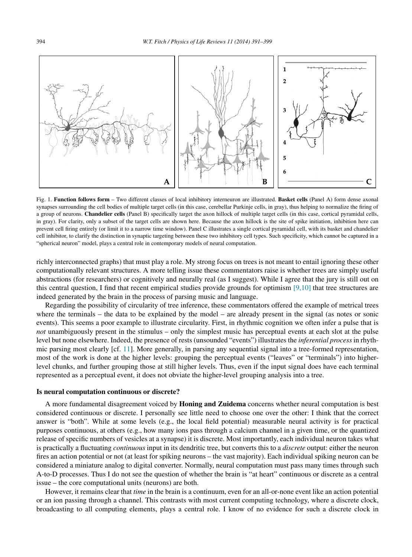<span id="page-3-0"></span>

Fig. 1. **Function follows form** – Two different classes of local inhibitory interneuron are illustrated. **Basket cells** (Panel A) form dense axonal synapses surrounding the cell bodies of multiple target cells (in this case, cerebellar Purkinje cells, in gray), thus helping to normalize the firing of a group of neurons. **Chandelier cells** (Panel B) specifically target the axon hillock of multiple target cells (in this case, cortical pyramidal cells, in gray). For clarity, only a subset of the target cells are shown here. Because the axon hillock is the site of spike initiation, inhibition here can prevent cell firing entirely (or limit it to a narrow time window). Panel C illustrates a single cortical pyramidal cell, with its basket and chandelier cell inhibitor, to clarify the distinction in synaptic targeting between these two inhibitory cell types. Such specificity, which cannot be captured in a "spherical neuron" model, plays a central role in contemporary models of neural computation.

richly interconnected graphs) that must play a role. My strong focus on trees is not meant to entail ignoring these other computationally relevant structures. A more telling issue these commentators raise is whether trees are simply useful abstractions (for researchers) or cognitively and neurally real (as I suggest). While I agree that the jury is still out on this central question, I find that recent empirical studies provide grounds for optimism  $[9,10]$  that tree structures are indeed generated by the brain in the process of parsing music and language.

Regarding the possibility of circularity of tree inference, these commentators offered the example of metrical trees where the terminals – the data to be explained by the model – are already present in the signal (as notes or sonic events). This seems a poor example to illustrate circularity. First, in rhythmic cognition we often infer a pulse that is *not* unambiguously present in the stimulus – only the simplest music has perceptual events at each slot at the pulse level but none elsewhere. Indeed, the presence of rests (unsounded "events") illustrates the *inferential process*in rhythmic parsing most clearly [cf. [11\]](#page-7-0). More generally, in parsing any sequential signal into a tree-formed representation, most of the work is done at the higher levels: grouping the perceptual events ("leaves" or "terminals") into higherlevel chunks, and further grouping those at still higher levels. Thus, even if the input signal does have each terminal represented as a perceptual event, it does not obviate the higher-level grouping analysis into a tree.

#### **Is neural computation continuous or discrete?**

A more fundamental disagreement voiced by **Honing and Zuidema** concerns whether neural computation is best considered continuous or discrete. I personally see little need to choose one over the other: I think that the correct answer is "both". While at some levels (e.g., the local field potential) measurable neural activity is for practical purposes continuous, at others (e.g., how many ions pass through a calcium channel in a given time, or the quantized release of specific numbers of vesicles at a synapse) it is discrete. Most importantly, each individual neuron takes what is practically a fluctuating *continuous* input in its dendritic tree, but converts this to a *discrete* output: either the neuron fires an action potential or not (at least for spiking neurons – the vast majority). Each individual spiking neuron can be considered a miniature analog to digital converter. Normally, neural computation must pass many times through such A-to-D processes. Thus I do not see the question of whether the brain is "at heart" continuous or discrete as a central issue – the core computational units (neurons) are both.

However, it remains clear that *time* in the brain is a continuum, even for an all-or-none event like an action potential or an ion passing through a channel. This contrasts with most current computing technology, where a discrete clock, broadcasting to all computing elements, plays a central role. I know of no evidence for such a discrete clock in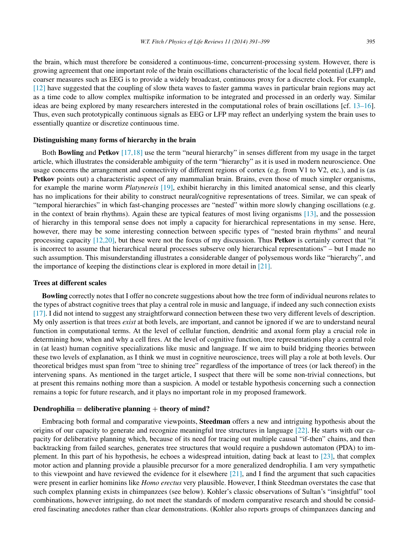the brain, which must therefore be considered a continuous-time, concurrent-processing system. However, there is growing agreement that one important role of the brain oscillations characteristic of the local field potential (LFP) and coarser measures such as EEG is to provide a widely broadcast, continuous proxy for a discrete clock. For example, [\[12\]](#page-7-0) have suggested that the coupling of slow theta waves to faster gamma waves in particular brain regions may act as a time code to allow complex multispike information to be integrated and processed in an orderly way. Similar ideas are being explored by many researchers interested in the computational roles of brain oscillations [cf. [13–16\]](#page-7-0). Thus, even such prototypically continuous signals as EEG or LFP may reflect an underlying system the brain uses to essentially quantize or discretize continuous time.

#### **Distinguishing many forms of hierarchy in the brain**

Both **Bowling** and **Petkov** [\[17,18\]](#page-7-0) use the term "neural hierarchy" in senses different from my usage in the target article, which illustrates the considerable ambiguity of the term "hierarchy" as it is used in modern neuroscience. One usage concerns the arrangement and connectivity of different regions of cortex (e.g. from V1 to V2, etc.), and is (as **Petkov** points out) a characteristic aspect of any mammalian brain. Brains, even those of much simpler organisms, for example the marine worm *Platynereis* [\[19\],](#page-7-0) exhibit hierarchy in this limited anatomical sense, and this clearly has no implications for their ability to construct neural/cognitive representations of trees. Similar, we can speak of "temporal hierarchies" in which fast-changing processes are "nested" within more slowly changing oscillations (e.g. in the context of brain rhythms). Again these are typical features of most living organisms [\[13\],](#page-7-0) and the possession of hierarchy in this temporal sense does not imply a capacity for hierarchical representations in my sense. Here, however, there may be some interesting connection between specific types of "nested brain rhythms" and neural processing capacity [\[12,20\],](#page-7-0) but these were not the focus of my discussion. Thus **Petkov** is certainly correct that "it is incorrect to assume that hierarchical neural processes subserve only hierarchical representations" – but I made no such assumption. This misunderstanding illustrates a considerable danger of polysemous words like "hierarchy", and the importance of keeping the distinctions clear is explored in more detail in [\[21\].](#page-7-0)

#### **Trees at different scales**

**Bowling** correctly notes that I offer no concrete suggestions about how the tree form of individual neurons relates to the types of abstract cognitive trees that play a central role in music and language, if indeed any such connection exists [\[17\].](#page-7-0) I did not intend to suggest any straightforward connection between these two very different levels of description. My only assertion is that trees *exist* at both levels, are important, and cannot be ignored if we are to understand neural function in computational terms. At the level of cellular function, dendritic and axonal form play a crucial role in determining how, when and why a cell fires. At the level of cognitive function, tree representations play a central role in (at least) human cognitive specializations like music and language. If we aim to build bridging theories between these two levels of explanation, as I think we must in cognitive neuroscience, trees will play a role at both levels. Our theoretical bridges must span from "tree to shining tree" regardless of the importance of trees (or lack thereof) in the intervening spans. As mentioned in the target article, I suspect that there will be some non-trivial connections, but at present this remains nothing more than a suspicion. A model or testable hypothesis concerning such a connection remains a topic for future research, and it plays no important role in my proposed framework.

#### **Dendrophilia** = **deliberative planning** + **theory of mind?**

Embracing both formal and comparative viewpoints, **Steedman** offers a new and intriguing hypothesis about the origins of our capacity to generate and recognize meaningful tree structures in language [\[22\].](#page-7-0) He starts with our capacity for deliberative planning which, because of its need for tracing out multiple causal "if-then" chains, and then backtracking from failed searches, generates tree structures that would require a pushdown automaton (PDA) to implement. In this part of his hypothesis, he echoes a widespread intuition, dating back at least to [\[23\],](#page-7-0) that complex motor action and planning provide a plausible precursor for a more generalized dendrophilia. I am very sympathetic to this viewpoint and have reviewed the evidence for it elsewhere  $[21]$ , and I find the argument that such capacities were present in earlier hominins like *Homo erectus* very plausible. However, I think Steedman overstates the case that such complex planning exists in chimpanzees (see below). Kohler's classic observations of Sultan's "insightful" tool combinations, however intriguing, do not meet the standards of modern comparative research and should be considered fascinating anecdotes rather than clear demonstrations. (Kohler also reports groups of chimpanzees dancing and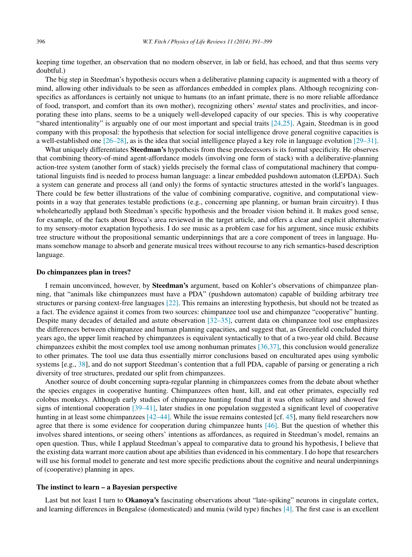keeping time together, an observation that no modern observer, in lab or field, has echoed, and that thus seems very doubtful.)

The big step in Steedman's hypothesis occurs when a deliberative planning capacity is augmented with a theory of mind, allowing other individuals to be seen as affordances embedded in complex plans. Although recognizing conspecifics as affordances is certainly not unique to humans (to an infant primate, there is no more reliable affordance of food, transport, and comfort than its own mother), recognizing others' *mental* states and proclivities, and incorporating these into plans, seems to be a uniquely well-developed capacity of our species. This is why cooperative "shared intentionality" is arguably one of our most important and special traits [\[24,25\].](#page-7-0) Again, Steedman is in good company with this proposal: the hypothesis that selection for social intelligence drove general cognitive capacities is a well-established one [\[26–28\],](#page-7-0) as is the idea that social intelligence played a key role in language evolution [\[29–31\].](#page-7-0)

What uniquely differentiates **Steedman's** hypothesis from these predecessors is its formal specificity. He observes that combining theory-of-mind agent-affordance models (involving one form of stack) with a deliberative-planning action-tree system (another form of stack) yields precisely the formal class of computational machinery that computational linguists find is needed to process human language: a linear embedded pushdown automaton (LEPDA). Such a system can generate and process all (and only) the forms of syntactic structures attested in the world's languages. There could be few better illustrations of the value of combining comparative, cognitive, and computational viewpoints in a way that generates testable predictions (e.g., concerning ape planning, or human brain circuitry). I thus wholeheartedly applaud both Steedman's specific hypothesis and the broader vision behind it. It makes good sense, for example, of the facts about Broca's area reviewed in the target article, and offers a clear and explicit alternative to my sensory-motor exaptation hypothesis. I do see music as a problem case for his argument, since music exhibits tree structure without the propositional semantic underpinnings that are a core component of trees in language. Humans somehow manage to absorb and generate musical trees without recourse to any rich semantics-based description language.

#### **Do chimpanzees plan in trees?**

I remain unconvinced, however, by **Steedman's** argument, based on Kohler's observations of chimpanzee planning, that "animals like chimpanzees must have a PDA" (pushdown automaton) capable of building arbitrary tree structures or parsing context-free languages [\[22\].](#page-7-0) This remains an interesting hypothesis, but should not be treated as a fact. The evidence against it comes from two sources: chimpanzee tool use and chimpanzee "cooperative" hunting. Despite many decades of detailed and astute observation [\[32–35\],](#page-7-0) current data on chimpanzee tool use emphasizes the differences between chimpanzee and human planning capacities, and suggest that, as Greenfield concluded thirty years ago, the upper limit reached by chimpanzees is equivalent syntactically to that of a two-year old child. Because chimpanzees exhibit the most complex tool use among nonhuman primates [\[36,37\],](#page-7-0) this conclusion would generalize to other primates. The tool use data thus essentially mirror conclusions based on enculturated apes using symbolic systems [e.g., [38\]](#page-7-0), and do not support Steedman's contention that a full PDA, capable of parsing or generating a rich diversity of tree structures, predated our split from chimpanzees.

Another source of doubt concerning supra-regular planning in chimpanzees comes from the debate about whether the species engages in cooperative hunting. Chimpanzees often hunt, kill, and eat other primates, especially red colobus monkeys. Although early studies of chimpanzee hunting found that it was often solitary and showed few signs of intentional cooperation [\[39–41\],](#page-7-0) later studies in one population suggested a significant level of cooperative hunting in at least some chimpanzees [\[42–44\].](#page-7-0) While the issue remains contested [cf. [45\]](#page-7-0), many field researchers now agree that there is some evidence for cooperation during chimpanzee hunts [\[46\].](#page-7-0) But the question of whether this involves shared intentions, or seeing others' intentions as affordances, as required in Steedman's model, remains an open question. Thus, while I applaud Steedman's appeal to comparative data to ground his hypothesis, I believe that the existing data warrant more caution about ape abilities than evidenced in his commentary. I do hope that researchers will use his formal model to generate and test more specific predictions about the cognitive and neural underpinnings of (cooperative) planning in apes.

# **The instinct to learn – a Bayesian perspective**

Last but not least I turn to **Okanoya's** fascinating observations about "late-spiking" neurons in cingulate cortex, and learning differences in Bengalese (domesticated) and munia (wild type) finches [\[4\].](#page-6-0) The first case is an excellent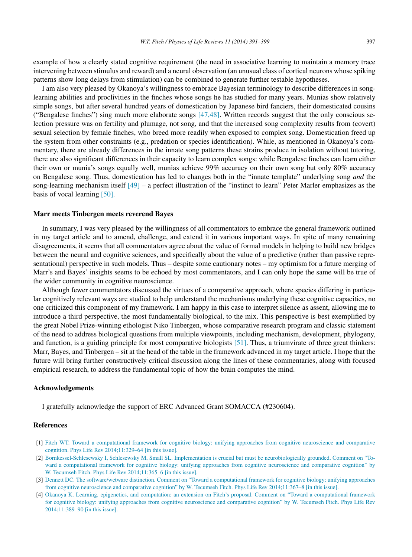<span id="page-6-0"></span>example of how a clearly stated cognitive requirement (the need in associative learning to maintain a memory trace intervening between stimulus and reward) and a neural observation (an unusual class of cortical neurons whose spiking patterns show long delays from stimulation) can be combined to generate further testable hypotheses.

I am also very pleased by Okanoya's willingness to embrace Bayesian terminology to describe differences in songlearning abilities and proclivities in the finches whose songs he has studied for many years. Munias show relatively simple songs, but after several hundred years of domestication by Japanese bird fanciers, their domesticated cousins ("Bengalese finches") sing much more elaborate songs [\[47,48\].](#page-8-0) Written records suggest that the only conscious selection pressure was on fertility and plumage, not song, and that the increased song complexity results from (covert) sexual selection by female finches, who breed more readily when exposed to complex song. Domestication freed up the system from other constraints (e.g., predation or species identification). While, as mentioned in Okanoya's commentary, there are already differences in the innate song patterns these strains produce in isolation without tutoring, there are also significant differences in their capacity to learn complex songs: while Bengalese finches can learn either their own or munia's songs equally well, munias achieve 99% accuracy on their own song but only 80% accuracy on Bengalese song. Thus, domestication has led to changes both in the "innate template" underlying song *and* the song-learning mechanism itself [\[49\]](#page-8-0) – a perfect illustration of the "instinct to learn" Peter Marler emphasizes as the basis of vocal learning [\[50\].](#page-8-0)

#### **Marr meets Tinbergen meets reverend Bayes**

In summary, I was very pleased by the willingness of all commentators to embrace the general framework outlined in my target article and to amend, challenge, and extend it in various important ways. In spite of many remaining disagreements, it seems that all commentators agree about the value of formal models in helping to build new bridges between the neural and cognitive sciences, and specifically about the value of a predictive (rather than passive representational) perspective in such models. Thus – despite some cautionary notes – my optimism for a future merging of Marr's and Bayes' insights seems to be echoed by most commentators, and I can only hope the same will be true of the wider community in cognitive neuroscience.

Although fewer commentators discussed the virtues of a comparative approach, where species differing in particular cognitively relevant ways are studied to help understand the mechanisms underlying these cognitive capacities, no one criticized this component of my framework. I am happy in this case to interpret silence as assent, allowing me to introduce a third perspective, the most fundamentally biological, to the mix. This perspective is best exemplified by the great Nobel Prize-winning ethologist Niko Tinbergen, whose comparative research program and classic statement of the need to address biological questions from multiple viewpoints, including mechanism, development, phylogeny, and function, is a guiding principle for most comparative biologists [\[51\].](#page-8-0) Thus, a triumvirate of three great thinkers: Marr, Bayes, and Tinbergen – sit at the head of the table in the framework advanced in my target article. I hope that the future will bring further constructively critical discussion along the lines of these commentaries, along with focused empirical research, to address the fundamental topic of how the brain computes the mind.

# **Acknowledgements**

I gratefully acknowledge the support of ERC Advanced Grant SOMACCA (#230604).

#### **References**

- [1] Fitch WT. Toward a [computational](http://refhub.elsevier.com/S1571-0645(14)00121-3/bib31s1) framework for cognitive biology: unifying approaches from cognitive neuroscience and comparative cognition. Phys Life Rev [2014;11:329–64](http://refhub.elsevier.com/S1571-0645(14)00121-3/bib31s1) [in this issue].
- [2] [Bornkessel-Schlesewsky I,](http://refhub.elsevier.com/S1571-0645(14)00121-3/bib32s1) Schlesewsky M, Small SL. Implementation is crucial but must be neurobiologically grounded. Comment on "Toward a [computational](http://refhub.elsevier.com/S1571-0645(14)00121-3/bib32s1) framework for cognitive biology: unifying approaches from cognitive neuroscience and comparative cognition" by W. Tecumseh Fitch. Phys Life Rev [2014;11:365–6](http://refhub.elsevier.com/S1571-0645(14)00121-3/bib32s1) [in this issue].
- [3] Dennett DC. The [software/wetware](http://refhub.elsevier.com/S1571-0645(14)00121-3/bib33s1) distinction. Comment on "Toward a computational framework for cognitive biology: unifying approaches from cognitive neuroscience and comparative cognition" by W. Tecumseh Fitch. Phys Life Rev [2014;11:367–8](http://refhub.elsevier.com/S1571-0645(14)00121-3/bib33s1) [in this issue].
- [4] Okanoya K. Learning, epigenetics, and computation: an extension on Fitch's proposal. Comment on "Toward a [computational](http://refhub.elsevier.com/S1571-0645(14)00121-3/bib34s1) framework for cognitive biology: unifying approaches from cognitive [neuroscience](http://refhub.elsevier.com/S1571-0645(14)00121-3/bib34s1) and comparative cognition" by W. Tecumseh Fitch. Phys Life Rev [2014;11:389–90](http://refhub.elsevier.com/S1571-0645(14)00121-3/bib34s1) [in this issue].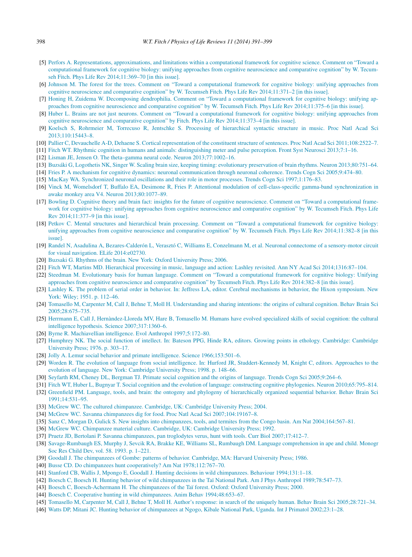- <span id="page-7-0"></span>[5] Perfors A. [Representations,](http://refhub.elsevier.com/S1571-0645(14)00121-3/bib35s1) approximations, and limitations within a computational framework for cognitive science. Comment on "Toward a [computational](http://refhub.elsevier.com/S1571-0645(14)00121-3/bib35s1) framework for cognitive biology: unifying approaches from cognitive neuroscience and comparative cognition" by W. Tecumseh Fitch. Phys Life Rev [2014;11:369–70](http://refhub.elsevier.com/S1571-0645(14)00121-3/bib35s1) [in this issue].
- [6] Johnson M. The forest for the trees. Comment on "Toward a [computational](http://refhub.elsevier.com/S1571-0645(14)00121-3/bib36s1) framework for cognitive biology: unifying approaches from cognitive neuroscience and comparative cognition" by W. Tecumseh Fitch. Phys Life Rev [2014;11:371–2](http://refhub.elsevier.com/S1571-0645(14)00121-3/bib36s1) [in this issue].
- [7] Honing H, Zuidema W. Decomposing dendrophilia. Comment on "Toward a [computational](http://refhub.elsevier.com/S1571-0645(14)00121-3/bib37s1) framework for cognitive biology: unifying approaches from cognitive neuroscience and comparative cognition" by W. Tecumseh Fitch. Phys Life Rev [2014;11:375–6](http://refhub.elsevier.com/S1571-0645(14)00121-3/bib37s1) [in this issue].
- [8] Huber L. Brains are not just neurons. Comment on "Toward a [computational](http://refhub.elsevier.com/S1571-0645(14)00121-3/bib38s1) framework for cognitive biology: unifying approaches from cognitive neuroscience and comparative cognition" by Fitch. Phys Life Rev [2014;11:373–4](http://refhub.elsevier.com/S1571-0645(14)00121-3/bib38s1) [in this issue].
- [9] Koelsch S, [Rohrmeier M,](http://refhub.elsevier.com/S1571-0645(14)00121-3/bib39s1) Torrecuso R, Jentschke S. Processing of hierarchical syntactic structure in music. Proc Natl Acad Sci [2013;110:15443–8.](http://refhub.elsevier.com/S1571-0645(14)00121-3/bib39s1)
- [10] Pallier C, Devauchelle A-D, Dehaene S. Cortical representation of the constituent structure of sentences. Proc Natl Acad Sci [2011;108:2522–7.](http://refhub.elsevier.com/S1571-0645(14)00121-3/bib3130s1)
- [11] Fitch WT. Rhythmic cognition in humans and animals: [distinguishing](http://refhub.elsevier.com/S1571-0645(14)00121-3/bib3131s1) meter and pulse perception. Front Syst Neurosci 2013;7:1–16.
- [12] Lisman JE, Jensen O. The theta–gamma neural code. Neuron [2013;77:1002–16.](http://refhub.elsevier.com/S1571-0645(14)00121-3/bib3132s1)
- [13] Buzsáki G, Logothetis NK, Singer W. Scaling brain size, keeping timing: evolutionary preservation of brain rhythms. Neuron [2013;80:751–64.](http://refhub.elsevier.com/S1571-0645(14)00121-3/bib3133s1)
- [14] Fries P. A mechanism for cognitive dynamics: neuronal communication through neuronal coherence. Trends Cogn Sci [2005;9:474–80.](http://refhub.elsevier.com/S1571-0645(14)00121-3/bib3134s1)
- [15] MacKay WA. Synchronized neuronal oscillations and their role in motor processes. Trends Cogn Sci [1997;1:176–83.](http://refhub.elsevier.com/S1571-0645(14)00121-3/bib3135s1)
- [16] Vinck M, Womelsdorf T, Buffalo EA, Desimone R, Fries P. Attentional modulation of [cell-class-specific](http://refhub.elsevier.com/S1571-0645(14)00121-3/bib3136s1) gamma-band synchronization in awake monkey area V4. Neuron [2013;80:1077–89.](http://refhub.elsevier.com/S1571-0645(14)00121-3/bib3136s1)
- [17] Bowling D. Cognitive theory and brain fact: insights for the future of cognitive neuroscience. Comment on "Toward a [computational](http://refhub.elsevier.com/S1571-0645(14)00121-3/bib3137s1) framework for cognitive biology: unifying approaches from cognitive [neuroscience](http://refhub.elsevier.com/S1571-0645(14)00121-3/bib3137s1) and comparative cognition" by W. Tecumseh Fitch. Phys Life Rev [2014;11:377–9](http://refhub.elsevier.com/S1571-0645(14)00121-3/bib3137s1) [in this issue].
- [18] Petkov C. Mental structures and hierarchical brain processing. Comment on "Toward a [computational](http://refhub.elsevier.com/S1571-0645(14)00121-3/bib3138s1) framework for cognitive biology: unifying approaches from cognitive neuroscience and comparative cognition" by W. Tecumseh Fitch. Phys Life Rev [2014;11:382–8](http://refhub.elsevier.com/S1571-0645(14)00121-3/bib3138s1) [in this [issue\].](http://refhub.elsevier.com/S1571-0645(14)00121-3/bib3138s1)
- [19] Randel N, Asadulina A, [Bezares-Calderón L,](http://refhub.elsevier.com/S1571-0645(14)00121-3/bib3139s1) Verasztó C, Williams E, Conzelmann M, et al. Neuronal connectome of a sensory-motor circuit for visual navigation. ELife [2014:e02730.](http://refhub.elsevier.com/S1571-0645(14)00121-3/bib3139s1)
- [20] Buzsaki G. Rhythms of the brain. New York: Oxford [University](http://refhub.elsevier.com/S1571-0645(14)00121-3/bib3230s1) Press; 2006.
- [21] Fitch WT, Martins MD. Hierarchical processing in music, language and action: Lashley revisited. Ann NY Acad Sci [2014;1316:87–104.](http://refhub.elsevier.com/S1571-0645(14)00121-3/bib3231s1)
- [22] Steedman M. Evolutionary basis for human language. Comment on "Toward a [computational](http://refhub.elsevier.com/S1571-0645(14)00121-3/bib3232s1) framework for cognitive biology: Unifying approaches from cognitive [neuroscience](http://refhub.elsevier.com/S1571-0645(14)00121-3/bib3232s1) and comparative cognition" by Tecumseh Fitch. Phys Life Rev 2014:382–8 [in this issue].
- [23] Lashley K. The problem of serial order in behavior. In: [Jeffress LA,](http://refhub.elsevier.com/S1571-0645(14)00121-3/bib3233s1) editor. Cerebral mechanisms in behavior, the Hixon symposium. New York: Wiley; 1951. [p. 112–46.](http://refhub.elsevier.com/S1571-0645(14)00121-3/bib3233s1)
- [24] Tomasello M, Carpenter M, Call J, Behne T, Moll H. [Understanding](http://refhub.elsevier.com/S1571-0645(14)00121-3/bib3234s1) and sharing intentions: the origins of cultural cognition. Behav Brain Sci [2005;28:675–735.](http://refhub.elsevier.com/S1571-0645(14)00121-3/bib3234s1)
- [25] Herrmann E, Call J, [Hernàndez-Lloreda MV,](http://refhub.elsevier.com/S1571-0645(14)00121-3/bib3235s1) Hare B, Tomasello M. Humans have evolved specialized skills of social cognition: the cultural intelligence hypothesis. Science [2007;317:1360–6.](http://refhub.elsevier.com/S1571-0645(14)00121-3/bib3235s1)
- [26] Byrne R. Machiavellian intelligence. Evol Anthropol [1997;5:172–80.](http://refhub.elsevier.com/S1571-0645(14)00121-3/bib3236s1)
- [27] [Humphrey NK.](http://refhub.elsevier.com/S1571-0645(14)00121-3/bib3237s1) The social function of intellect. In: Bateson PPG, Hinde RA, editors. Growing points in ethology. Cambridge: Cambridge University Press; 1976. [p. 303–17.](http://refhub.elsevier.com/S1571-0645(14)00121-3/bib3237s1)
- [28] Jolly A. Lemur social behavior and primate intelligence. Science [1966;153:501–6.](http://refhub.elsevier.com/S1571-0645(14)00121-3/bib3238s1)
- [29] Worden R. The evolution of language from social intelligence. In: Hurford JR, [Studdert-Kennedy M,](http://refhub.elsevier.com/S1571-0645(14)00121-3/bib3239s1) Knight C, editors. Approaches to the evolution of language. New York: [Cambridge](http://refhub.elsevier.com/S1571-0645(14)00121-3/bib3239s1) University Press; 1998. p. 148–66.
- [30] Seyfarth RM, Cheney DL, Bergman TJ. Primate social cognition and the origins of language. Trends Cogn Sci [2005;9:264–6.](http://refhub.elsevier.com/S1571-0645(14)00121-3/bib3330s1)
- [31] Fitch WT, Huber L, Bugnyar T. Social cognition and the evolution of language: constructing cognitive phylogenies. Neuron [2010;65:795–814.](http://refhub.elsevier.com/S1571-0645(14)00121-3/bib3331s1)
- [32] Greenfield PM. Language, tools, and brain: the ontogeny and phylogeny of [hierarchically](http://refhub.elsevier.com/S1571-0645(14)00121-3/bib3332s1) organized sequential behavior. Behav Brain Sci [1991;14:531–95.](http://refhub.elsevier.com/S1571-0645(14)00121-3/bib3332s1)
- [33] [McGrew WC.](http://refhub.elsevier.com/S1571-0645(14)00121-3/bib3333s1) The cultured chimpanzee. Cambridge, UK: Cambridge University Press; 2004.
- [34] McGrew WC. Savanna chimpanzees dig for food. Proc Natl Acad Sci [2007;104:19167–8.](http://refhub.elsevier.com/S1571-0645(14)00121-3/bib3334s1)
- [35] Sanz C, Morgan D, Gulick S. New insights into chimpanzees, tools, and termites from the Congo basin. Am Nat [2004;164:567–81.](http://refhub.elsevier.com/S1571-0645(14)00121-3/bib3335s1)
- [36] [McGrew WC.](http://refhub.elsevier.com/S1571-0645(14)00121-3/bib3336s1) Chimpanzee material culture. Cambridge, UK: Cambridge University Press; 1992.
- [37] Pruetz JD, Bertolani P. Savanna chimpanzees, pan troglodytes verus, hunt with tools. Curr Biol [2007;17:412–7.](http://refhub.elsevier.com/S1571-0645(14)00121-3/bib3337s1)
- [38] [Savage-Rumbaugh ES,](http://refhub.elsevier.com/S1571-0645(14)00121-3/bib3338s1) Murphy J, Sevcik RA, Brakke KE, Williams SL, Rumbaugh DM. Language comprehension in ape and child. Monogr Soc Res Child Dev, vol. 58. 1993. [p. 1–221.](http://refhub.elsevier.com/S1571-0645(14)00121-3/bib3338s1)
- [39] Goodall J. The [chimpanzees](http://refhub.elsevier.com/S1571-0645(14)00121-3/bib3339s1) of Gombe: patterns of behavior. Cambridge, MA: Harvard University Press; 1986.
- [40] Busse CD. Do chimpanzees hunt cooperatively? Am Nat [1978;112:767–70.](http://refhub.elsevier.com/S1571-0645(14)00121-3/bib3430s1)
- [41] Stanford CB, Wallis J, Mpongo E, Goodall J. Hunting decisions in wild chimpanzees. Behaviour [1994;131:1–18.](http://refhub.elsevier.com/S1571-0645(14)00121-3/bib3431s1)
- [42] Boesch C, Boesch H. Hunting behavior of wild chimpanzees in the Taï National Park. Am J Phys Anthropol [1989;78:547–73.](http://refhub.elsevier.com/S1571-0645(14)00121-3/bib3432s1)
- [43] Boesch C, [Boesch-Achermann H.](http://refhub.elsevier.com/S1571-0645(14)00121-3/bib3433s1) The chimpanzees of the Taï forest. Oxford: Oxford University Press; 2000.
- [44] Boesch C. Cooperative hunting in wild chimpanzees. Anim Behav [1994;48:653–67.](http://refhub.elsevier.com/S1571-0645(14)00121-3/bib3434s1)
- [45] Tomasello M, Carpenter M, Call J, Behne T, Moll H. Author's response: in search of the uniquely human. Behav Brain Sci [2005;28:721–34.](http://refhub.elsevier.com/S1571-0645(14)00121-3/bib3435s1)
- [46] Watts DP, Mitani JC. Hunting behavior of chimpanzees at Ngogo, Kibale National Park, Uganda. Int J Primatol [2002;23:1–28.](http://refhub.elsevier.com/S1571-0645(14)00121-3/bib3436s1)